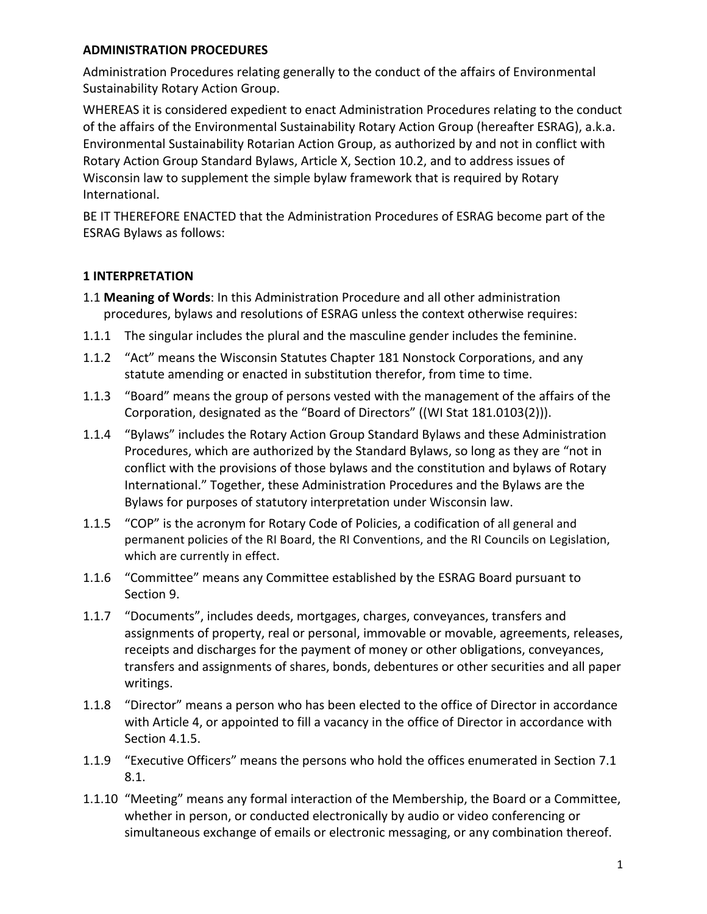### **ADMINISTRATION PROCEDURES**

Administration Procedures relating generally to the conduct of the affairs of Environmental Sustainability Rotary Action Group.

WHEREAS it is considered expedient to enact Administration Procedures relating to the conduct of the affairs of the Environmental Sustainability Rotary Action Group (hereafter ESRAG), a.k.a. Environmental Sustainability Rotarian Action Group, as authorized by and not in conflict with Rotary Action Group Standard Bylaws, Article X, Section 10.2, and to address issues of Wisconsin law to supplement the simple bylaw framework that is required by Rotary International.

BE IT THEREFORE ENACTED that the Administration Procedures of ESRAG become part of the ESRAG Bylaws as follows:

## **1 INTERPRETATION**

- 1.1 Meaning of Words: In this Administration Procedure and all other administration procedures, bylaws and resolutions of ESRAG unless the context otherwise requires:
- 1.1.1 The singular includes the plural and the masculine gender includes the feminine.
- 1.1.2 "Act" means the Wisconsin Statutes Chapter 181 Nonstock Corporations, and any statute amending or enacted in substitution therefor, from time to time.
- 1.1.3 "Board" means the group of persons vested with the management of the affairs of the Corporation, designated as the "Board of Directors" ((WI Stat 181.0103(2))).
- 1.1.4 "Bylaws" includes the Rotary Action Group Standard Bylaws and these Administration Procedures, which are authorized by the Standard Bylaws, so long as they are "not in conflict with the provisions of those bylaws and the constitution and bylaws of Rotary International." Together, these Administration Procedures and the Bylaws are the Bylaws for purposes of statutory interpretation under Wisconsin law.
- 1.1.5 "COP" is the acronym for Rotary Code of Policies, a codification of all general and permanent policies of the RI Board, the RI Conventions, and the RI Councils on Legislation, which are currently in effect.
- 1.1.6 "Committee" means any Committee established by the ESRAG Board pursuant to Section 9.
- 1.1.7 "Documents", includes deeds, mortgages, charges, conveyances, transfers and assignments of property, real or personal, immovable or movable, agreements, releases, receipts and discharges for the payment of money or other obligations, conveyances, transfers and assignments of shares, bonds, debentures or other securities and all paper writings.
- 1.1.8 "Director" means a person who has been elected to the office of Director in accordance with Article 4, or appointed to fill a vacancy in the office of Director in accordance with Section 4.1.5.
- 1.1.9 "Executive Officers" means the persons who hold the offices enumerated in Section 7.1 8.1.
- 1.1.10 "Meeting" means any formal interaction of the Membership, the Board or a Committee, whether in person, or conducted electronically by audio or video conferencing or simultaneous exchange of emails or electronic messaging, or any combination thereof.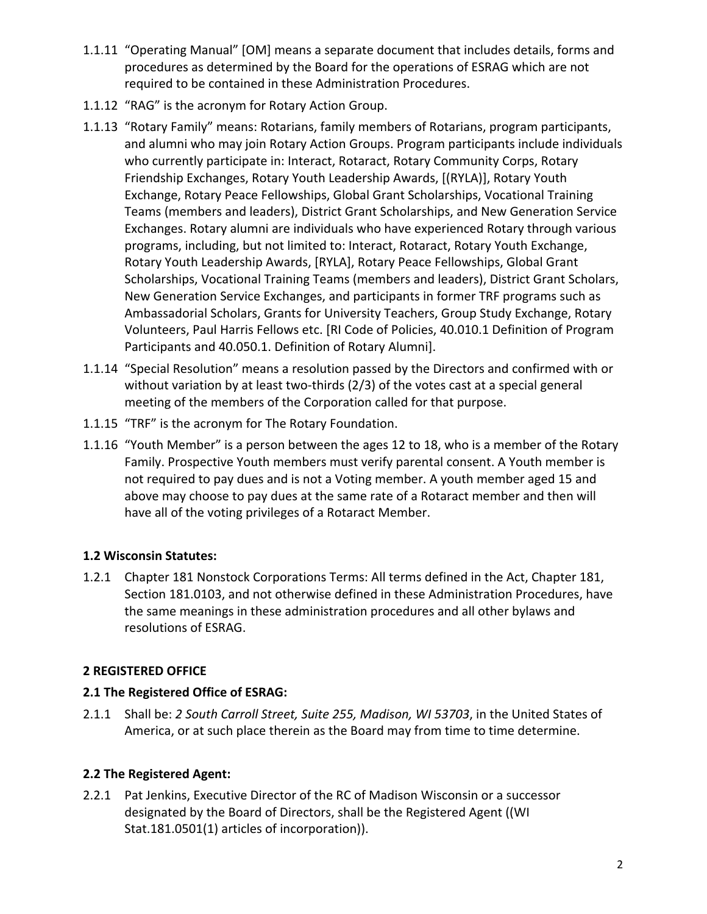- 1.1.11 "Operating Manual" [OM] means a separate document that includes details, forms and procedures as determined by the Board for the operations of ESRAG which are not required to be contained in these Administration Procedures.
- 1.1.12 "RAG" is the acronym for Rotary Action Group.
- 1.1.13 "Rotary Family" means: Rotarians, family members of Rotarians, program participants, and alumni who may join Rotary Action Groups. Program participants include individuals who currently participate in: Interact, Rotaract, Rotary Community Corps, Rotary Friendship Exchanges, Rotary Youth Leadership Awards, [(RYLA)], Rotary Youth Exchange, Rotary Peace Fellowships, Global Grant Scholarships, Vocational Training Teams (members and leaders), District Grant Scholarships, and New Generation Service Exchanges. Rotary alumni are individuals who have experienced Rotary through various programs, including, but not limited to: Interact, Rotaract, Rotary Youth Exchange, Rotary Youth Leadership Awards, [RYLA], Rotary Peace Fellowships, Global Grant Scholarships, Vocational Training Teams (members and leaders), District Grant Scholars, New Generation Service Exchanges, and participants in former TRF programs such as Ambassadorial Scholars, Grants for University Teachers, Group Study Exchange, Rotary Volunteers, Paul Harris Fellows etc. [RI Code of Policies, 40.010.1 Definition of Program Participants and 40.050.1. Definition of Rotary Alumni].
- 1.1.14 "Special Resolution" means a resolution passed by the Directors and confirmed with or without variation by at least two-thirds  $(2/3)$  of the votes cast at a special general meeting of the members of the Corporation called for that purpose.
- 1.1.15 "TRF" is the acronym for The Rotary Foundation.
- 1.1.16 "Youth Member" is a person between the ages 12 to 18, who is a member of the Rotary Family. Prospective Youth members must verify parental consent. A Youth member is not required to pay dues and is not a Voting member. A youth member aged 15 and above may choose to pay dues at the same rate of a Rotaract member and then will have all of the voting privileges of a Rotaract Member.

# **1.2 Wisconsin Statutes:**

1.2.1 Chapter 181 Nonstock Corporations Terms: All terms defined in the Act, Chapter 181, Section 181.0103, and not otherwise defined in these Administration Procedures, have the same meanings in these administration procedures and all other bylaws and resolutions of ESRAG.

# **2 REGISTERED OFFICE**

## **2.1 The Registered Office of ESRAG:**

2.1.1 Shall be: 2 South Carroll Street, Suite 255, Madison, WI 53703, in the United States of America, or at such place therein as the Board may from time to time determine.

# **2.2 The Registered Agent:**

2.2.1 Pat Jenkins, Executive Director of the RC of Madison Wisconsin or a successor designated by the Board of Directors, shall be the Registered Agent ((WI Stat.181.0501(1) articles of incorporation)).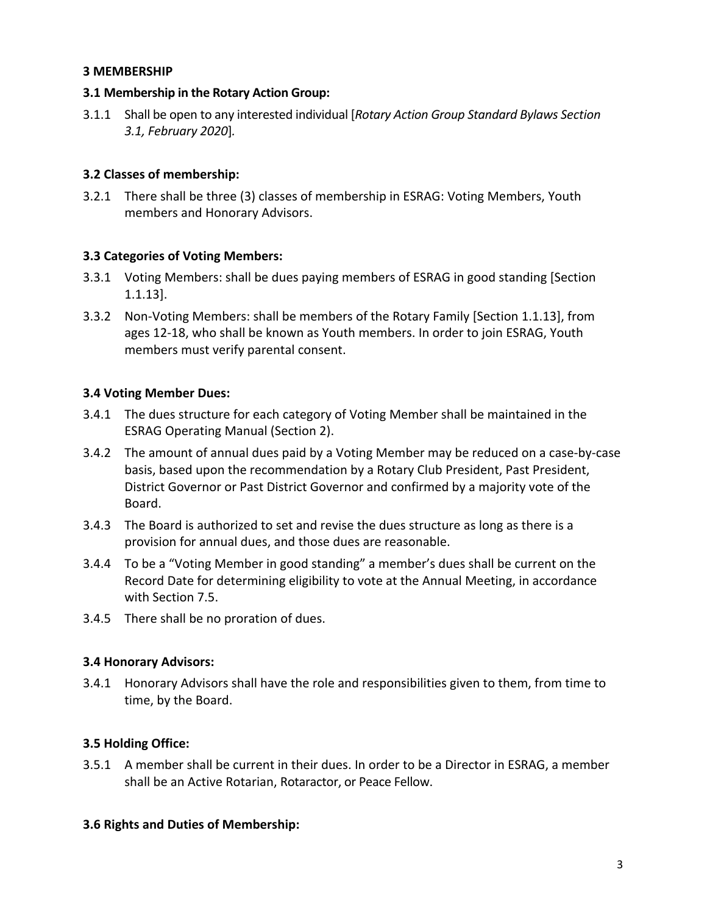#### **3 MEMBERSHIP**

### **3.1 Membership in the Rotary Action Group:**

3.1.1 Shall be open to any interested individual [*Rotary Action Group Standard Bylaws Section 3.1, February 2020*]*.*

## **3.2 Classes of membership:**

3.2.1 There shall be three (3) classes of membership in ESRAG: Voting Members, Youth members and Honorary Advisors.

## **3.3 Categories of Voting Members:**

- 3.3.1 Voting Members: shall be dues paying members of ESRAG in good standing [Section 1.1.13].
- 3.3.2 Non-Voting Members: shall be members of the Rotary Family [Section 1.1.13], from ages 12-18, who shall be known as Youth members. In order to join ESRAG, Youth members must verify parental consent.

## **3.4 Voting Member Dues:**

- 3.4.1 The dues structure for each category of Voting Member shall be maintained in the ESRAG Operating Manual (Section 2).
- 3.4.2 The amount of annual dues paid by a Voting Member may be reduced on a case-by-case basis, based upon the recommendation by a Rotary Club President, Past President, District Governor or Past District Governor and confirmed by a majority vote of the Board.
- 3.4.3 The Board is authorized to set and revise the dues structure as long as there is a provision for annual dues, and those dues are reasonable.
- 3.4.4 To be a "Voting Member in good standing" a member's dues shall be current on the Record Date for determining eligibility to vote at the Annual Meeting, in accordance with Section 7.5.
- 3.4.5 There shall be no proration of dues.

## **3.4 Honorary Advisors:**

3.4.1 Honorary Advisors shall have the role and responsibilities given to them, from time to time, by the Board.

# **3.5 Holding Office:**

3.5.1 A member shall be current in their dues. In order to be a Director in ESRAG, a member shall be an Active Rotarian, Rotaractor, or Peace Fellow.

## **3.6 Rights and Duties of Membership:**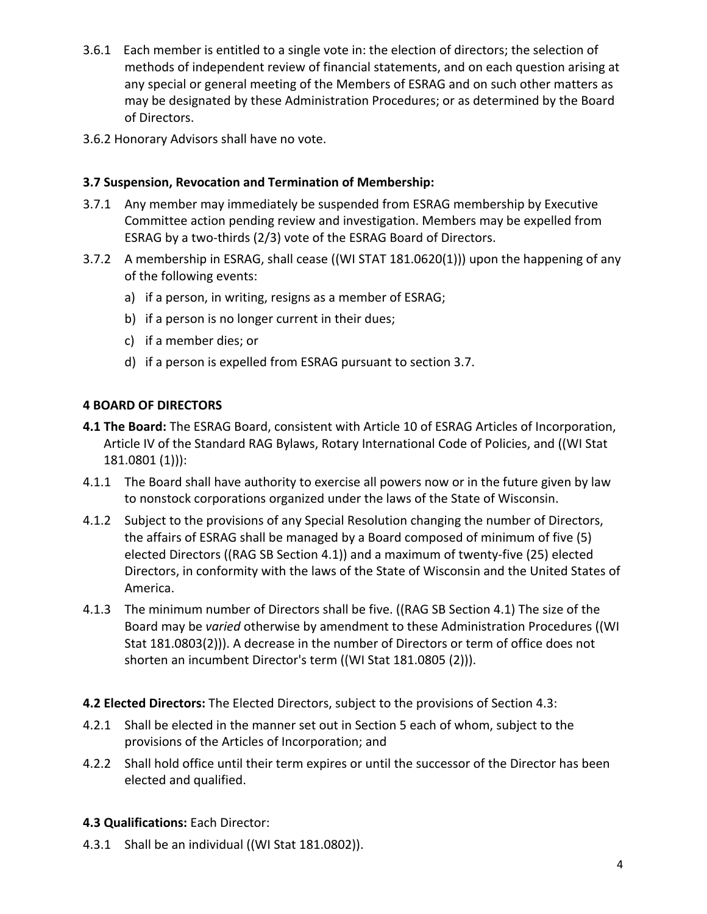- 3.6.1 Each member is entitled to a single vote in: the election of directors; the selection of methods of independent review of financial statements, and on each question arising at any special or general meeting of the Members of ESRAG and on such other matters as may be designated by these Administration Procedures; or as determined by the Board of Directors.
- 3.6.2 Honorary Advisors shall have no vote.

## **3.7 Suspension, Revocation and Termination of Membership:**

- 3.7.1 Any member may immediately be suspended from ESRAG membership by Executive Committee action pending review and investigation. Members may be expelled from ESRAG by a two-thirds (2/3) vote of the ESRAG Board of Directors.
- 3.7.2 A membership in ESRAG, shall cease ((WI STAT 181.0620(1))) upon the happening of any of the following events:
	- a) if a person, in writing, resigns as a member of ESRAG;
	- b) if a person is no longer current in their dues;
	- c) if a member dies; or
	- d) if a person is expelled from ESRAG pursuant to section 3.7.

## **4 BOARD OF DIRECTORS**

- **4.1 The Board:** The ESRAG Board, consistent with Article 10 of ESRAG Articles of Incorporation, Article IV of the Standard RAG Bylaws, Rotary International Code of Policies, and ((WI Stat 181.0801 (1))):
- 4.1.1 The Board shall have authority to exercise all powers now or in the future given by law to nonstock corporations organized under the laws of the State of Wisconsin.
- 4.1.2 Subject to the provisions of any Special Resolution changing the number of Directors, the affairs of ESRAG shall be managed by a Board composed of minimum of five (5) elected Directors ((RAG SB Section 4.1)) and a maximum of twenty-five (25) elected Directors, in conformity with the laws of the State of Wisconsin and the United States of America.
- 4.1.3 The minimum number of Directors shall be five. ((RAG SB Section 4.1) The size of the Board may be *varied* otherwise by amendment to these Administration Procedures ((WI Stat 181.0803(2))). A decrease in the number of Directors or term of office does not shorten an incumbent Director's term ((WI Stat 181.0805 (2))).
- **4.2 Elected Directors:** The Elected Directors, subject to the provisions of Section 4.3:
- 4.2.1 Shall be elected in the manner set out in Section 5 each of whom, subject to the provisions of the Articles of Incorporation; and
- 4.2.2 Shall hold office until their term expires or until the successor of the Director has been elected and qualified.
- **4.3 Qualifications:** Each Director:
- 4.3.1 Shall be an individual ((WI Stat 181.0802)).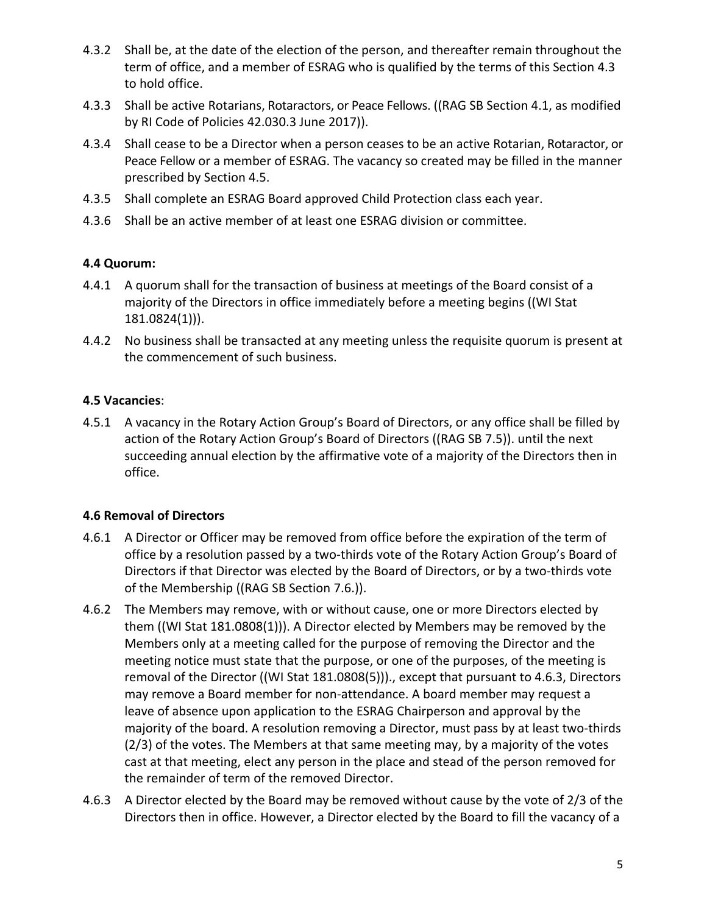- 4.3.2 Shall be, at the date of the election of the person, and thereafter remain throughout the term of office, and a member of ESRAG who is qualified by the terms of this Section 4.3 to hold office.
- 4.3.3 Shall be active Rotarians, Rotaractors, or Peace Fellows. ((RAG SB Section 4.1, as modified by RI Code of Policies 42.030.3 June 2017)).
- 4.3.4 Shall cease to be a Director when a person ceases to be an active Rotarian, Rotaractor, or Peace Fellow or a member of ESRAG. The vacancy so created may be filled in the manner prescribed by Section 4.5.
- 4.3.5 Shall complete an ESRAG Board approved Child Protection class each year.
- 4.3.6 Shall be an active member of at least one ESRAG division or committee.

# **4.4 Quorum:**

- 4.4.1 A quorum shall for the transaction of business at meetings of the Board consist of a majority of the Directors in office immediately before a meeting begins ((WI Stat 181.0824(1))).
- 4.4.2 No business shall be transacted at any meeting unless the requisite quorum is present at the commencement of such business.

## **4.5 Vacancies**:

4.5.1 A vacancy in the Rotary Action Group's Board of Directors, or any office shall be filled by action of the Rotary Action Group's Board of Directors ((RAG SB 7.5)). until the next succeeding annual election by the affirmative vote of a majority of the Directors then in office.

## **4.6 Removal of Directors**

- 4.6.1 A Director or Officer may be removed from office before the expiration of the term of office by a resolution passed by a two-thirds vote of the Rotary Action Group's Board of Directors if that Director was elected by the Board of Directors, or by a two-thirds vote of the Membership ((RAG SB Section 7.6.)).
- 4.6.2 The Members may remove, with or without cause, one or more Directors elected by them ((WI Stat 181.0808(1))). A Director elected by Members may be removed by the Members only at a meeting called for the purpose of removing the Director and the meeting notice must state that the purpose, or one of the purposes, of the meeting is removal of the Director ((WI Stat 181.0808(5)))., except that pursuant to 4.6.3, Directors may remove a Board member for non-attendance. A board member may request a leave of absence upon application to the ESRAG Chairperson and approval by the majority of the board. A resolution removing a Director, must pass by at least two-thirds  $(2/3)$  of the votes. The Members at that same meeting may, by a majority of the votes cast at that meeting, elect any person in the place and stead of the person removed for the remainder of term of the removed Director.
- 4.6.3 A Director elected by the Board may be removed without cause by the vote of 2/3 of the Directors then in office. However, a Director elected by the Board to fill the vacancy of a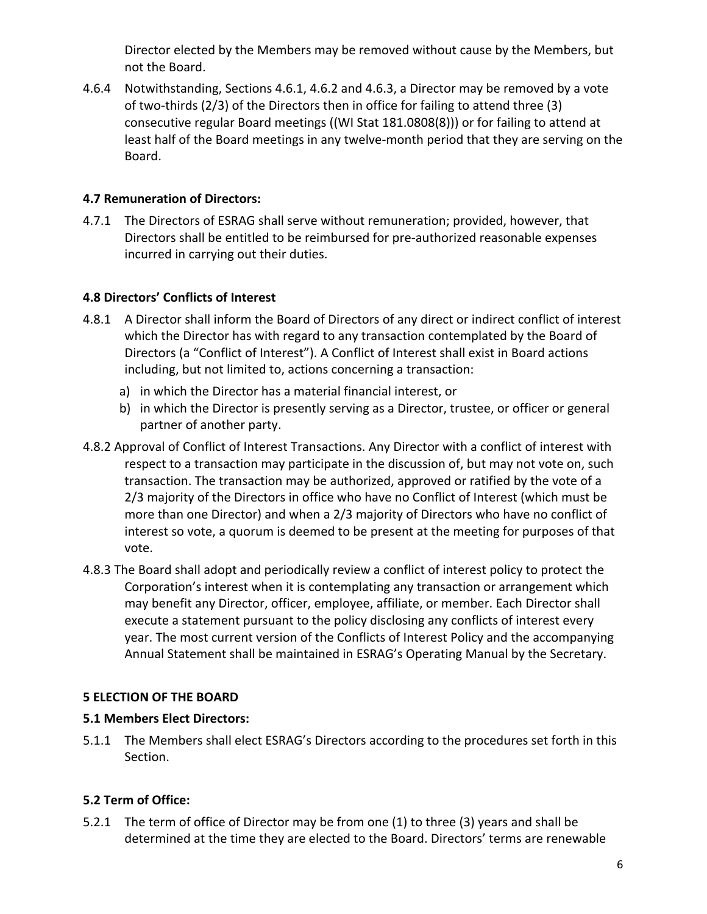Director elected by the Members may be removed without cause by the Members, but not the Board.

4.6.4 Notwithstanding, Sections 4.6.1, 4.6.2 and 4.6.3, a Director may be removed by a vote of two-thirds  $(2/3)$  of the Directors then in office for failing to attend three  $(3)$ consecutive regular Board meetings ((WI Stat  $181.0808(8)$ )) or for failing to attend at least half of the Board meetings in any twelve-month period that they are serving on the Board.

## **4.7 Remuneration of Directors:**

4.7.1 The Directors of ESRAG shall serve without remuneration; provided, however, that Directors shall be entitled to be reimbursed for pre-authorized reasonable expenses incurred in carrying out their duties.

# **4.8 Directors' Conflicts of Interest**

- 4.8.1 A Director shall inform the Board of Directors of any direct or indirect conflict of interest which the Director has with regard to any transaction contemplated by the Board of Directors (a "Conflict of Interest"). A Conflict of Interest shall exist in Board actions including, but not limited to, actions concerning a transaction:
	- a) in which the Director has a material financial interest, or
	- b) in which the Director is presently serving as a Director, trustee, or officer or general partner of another party.
- 4.8.2 Approval of Conflict of Interest Transactions. Any Director with a conflict of interest with respect to a transaction may participate in the discussion of, but may not vote on, such transaction. The transaction may be authorized, approved or ratified by the vote of a 2/3 majority of the Directors in office who have no Conflict of Interest (which must be more than one Director) and when a 2/3 majority of Directors who have no conflict of interest so vote, a quorum is deemed to be present at the meeting for purposes of that vote.
- 4.8.3 The Board shall adopt and periodically review a conflict of interest policy to protect the Corporation's interest when it is contemplating any transaction or arrangement which may benefit any Director, officer, employee, affiliate, or member. Each Director shall execute a statement pursuant to the policy disclosing any conflicts of interest every year. The most current version of the Conflicts of Interest Policy and the accompanying Annual Statement shall be maintained in ESRAG's Operating Manual by the Secretary.

## **5 ELECTION OF THE BOARD**

## **5.1 Members Elect Directors:**

5.1.1 The Members shall elect ESRAG's Directors according to the procedures set forth in this Section.

# **5.2 Term of Office:**

5.2.1 The term of office of Director may be from one (1) to three (3) years and shall be determined at the time they are elected to the Board. Directors' terms are renewable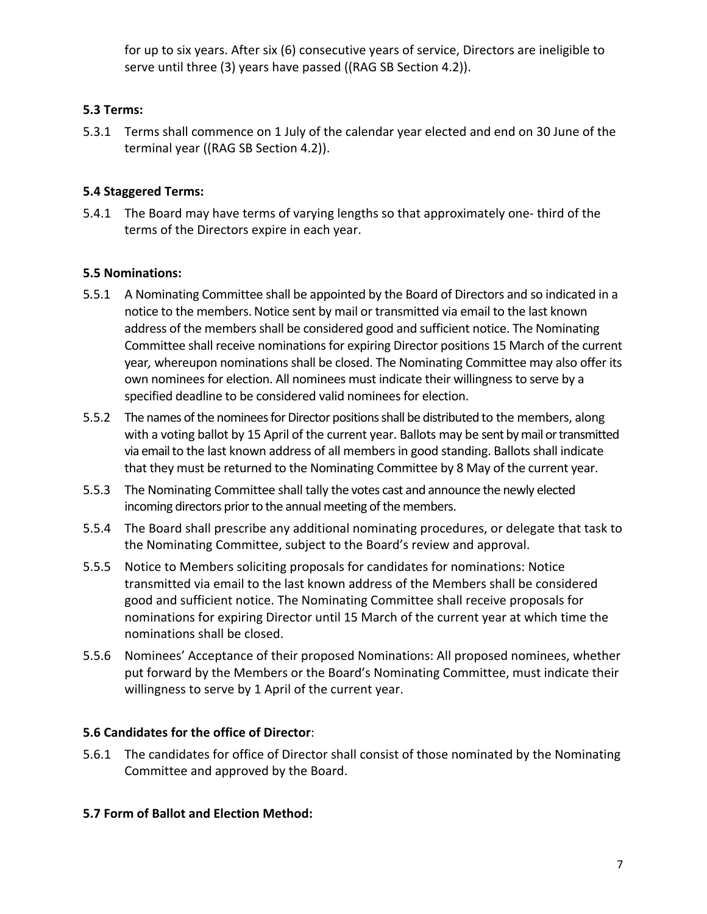for up to six years. After six (6) consecutive years of service, Directors are ineligible to serve until three (3) years have passed ((RAG SB Section 4.2)).

## **5.3 Terms:**

5.3.1 Terms shall commence on 1 July of the calendar year elected and end on 30 June of the terminal year ((RAG SB Section 4.2)).

## **5.4 Staggered Terms:**

5.4.1 The Board may have terms of varying lengths so that approximately one- third of the terms of the Directors expire in each year.

## **5.5 Nominations:**

- 5.5.1 A Nominating Committee shall be appointed by the Board of Directors and so indicated in a notice to the members. Notice sent by mail or transmitted via email to the last known address of the members shall be considered good and sufficient notice. The Nominating Committee shall receive nominations for expiring Director positions 15 March of the current year, whereupon nominations shall be closed. The Nominating Committee may also offer its own nominees for election. All nominees must indicate their willingness to serve by a specified deadline to be considered valid nominees for election.
- 5.5.2 The names of the nominees for Director positions shall be distributed to the members, along with a voting ballot by 15 April of the current year. Ballots may be sent by mail or transmitted via email to the last known address of all members in good standing. Ballots shall indicate that they must be returned to the Nominating Committee by 8 May of the current year.
- 5.5.3 The Nominating Committee shall tally the votes cast and announce the newly elected incoming directors prior to the annual meeting of the members.
- 5.5.4 The Board shall prescribe any additional nominating procedures, or delegate that task to the Nominating Committee, subject to the Board's review and approval.
- 5.5.5 Notice to Members soliciting proposals for candidates for nominations: Notice transmitted via email to the last known address of the Members shall be considered good and sufficient notice. The Nominating Committee shall receive proposals for nominations for expiring Director until 15 March of the current year at which time the nominations shall be closed.
- 5.5.6 Nominees' Acceptance of their proposed Nominations: All proposed nominees, whether put forward by the Members or the Board's Nominating Committee, must indicate their willingness to serve by 1 April of the current year.

## **5.6 Candidates for the office of Director**:

5.6.1 The candidates for office of Director shall consist of those nominated by the Nominating Committee and approved by the Board.

## **5.7 Form of Ballot and Election Method:**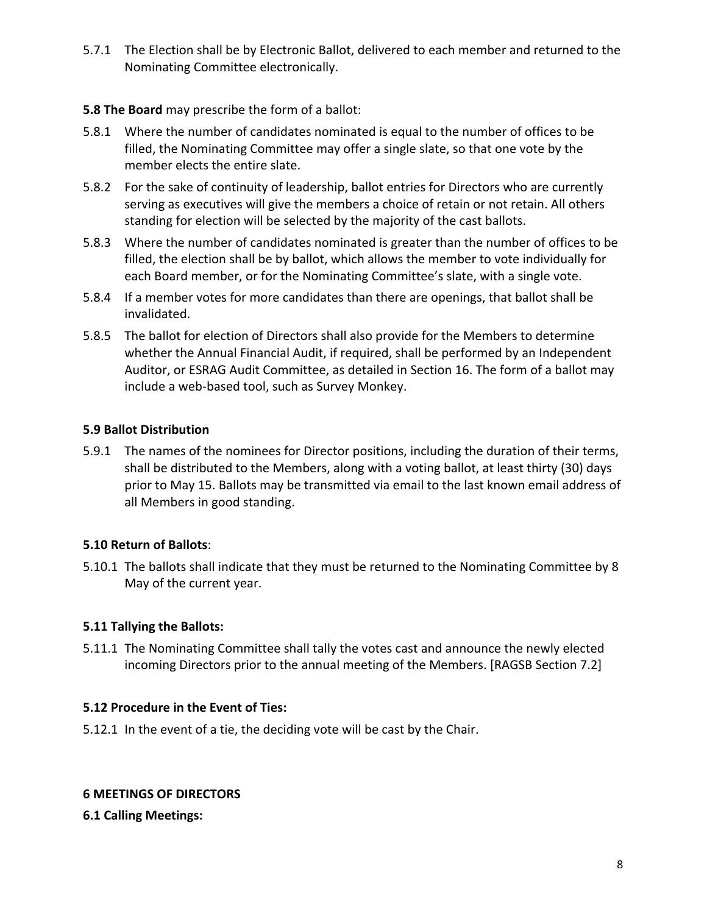5.7.1 The Election shall be by Electronic Ballot, delivered to each member and returned to the Nominating Committee electronically.

## **5.8 The Board** may prescribe the form of a ballot:

- 5.8.1 Where the number of candidates nominated is equal to the number of offices to be filled, the Nominating Committee may offer a single slate, so that one vote by the member elects the entire slate.
- 5.8.2 For the sake of continuity of leadership, ballot entries for Directors who are currently serving as executives will give the members a choice of retain or not retain. All others standing for election will be selected by the majority of the cast ballots.
- 5.8.3 Where the number of candidates nominated is greater than the number of offices to be filled, the election shall be by ballot, which allows the member to vote individually for each Board member, or for the Nominating Committee's slate, with a single vote.
- 5.8.4 If a member votes for more candidates than there are openings, that ballot shall be invalidated.
- 5.8.5 The ballot for election of Directors shall also provide for the Members to determine whether the Annual Financial Audit, if required, shall be performed by an Independent Auditor, or ESRAG Audit Committee, as detailed in Section 16. The form of a ballot may include a web-based tool, such as Survey Monkey.

## **5.9 Ballot Distribution**

5.9.1 The names of the nominees for Director positions, including the duration of their terms, shall be distributed to the Members, along with a voting ballot, at least thirty (30) days prior to May 15. Ballots may be transmitted via email to the last known email address of all Members in good standing.

# **5.10 Return of Ballots**:

5.10.1 The ballots shall indicate that they must be returned to the Nominating Committee by 8 May of the current year.

# **5.11 Tallying the Ballots:**

5.11.1 The Nominating Committee shall tally the votes cast and announce the newly elected incoming Directors prior to the annual meeting of the Members. [RAGSB Section 7.2]

# **5.12 Procedure in the Event of Ties:**

5.12.1 In the event of a tie, the deciding vote will be cast by the Chair.

## **6 MEETINGS OF DIRECTORS**

**6.1 Calling Meetings:**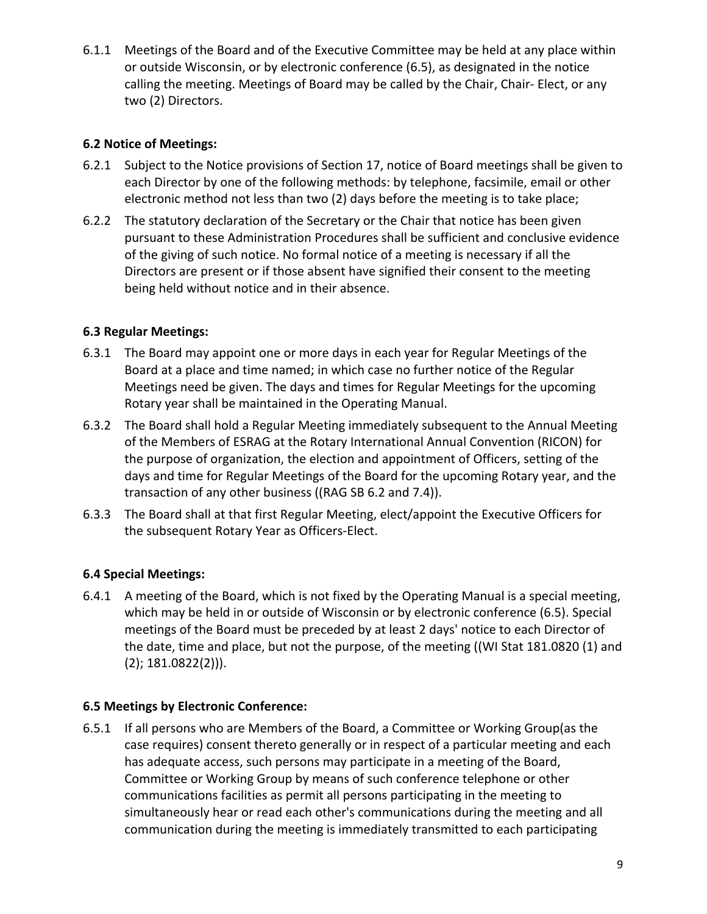6.1.1 Meetings of the Board and of the Executive Committee may be held at any place within or outside Wisconsin, or by electronic conference (6.5), as designated in the notice calling the meeting. Meetings of Board may be called by the Chair, Chair- Elect, or any two (2) Directors.

# **6.2 Notice of Meetings:**

- 6.2.1 Subject to the Notice provisions of Section 17, notice of Board meetings shall be given to each Director by one of the following methods: by telephone, facsimile, email or other electronic method not less than two (2) days before the meeting is to take place;
- 6.2.2 The statutory declaration of the Secretary or the Chair that notice has been given pursuant to these Administration Procedures shall be sufficient and conclusive evidence of the giving of such notice. No formal notice of a meeting is necessary if all the Directors are present or if those absent have signified their consent to the meeting being held without notice and in their absence.

## **6.3 Regular Meetings:**

- 6.3.1 The Board may appoint one or more days in each year for Regular Meetings of the Board at a place and time named; in which case no further notice of the Regular Meetings need be given. The days and times for Regular Meetings for the upcoming Rotary year shall be maintained in the Operating Manual.
- 6.3.2 The Board shall hold a Regular Meeting immediately subsequent to the Annual Meeting of the Members of ESRAG at the Rotary International Annual Convention (RICON) for the purpose of organization, the election and appointment of Officers, setting of the days and time for Regular Meetings of the Board for the upcoming Rotary year, and the transaction of any other business ((RAG SB 6.2 and 7.4)).
- 6.3.3 The Board shall at that first Regular Meeting, elect/appoint the Executive Officers for the subsequent Rotary Year as Officers-Elect.

# **6.4 Special Meetings:**

6.4.1 A meeting of the Board, which is not fixed by the Operating Manual is a special meeting, which may be held in or outside of Wisconsin or by electronic conference (6.5). Special meetings of the Board must be preceded by at least 2 days' notice to each Director of the date, time and place, but not the purpose, of the meeting ((WI Stat 181.0820 (1) and  $(2)$ ; 181.0822 $(2)$ )).

## **6.5 Meetings by Electronic Conference:**

6.5.1 If all persons who are Members of the Board, a Committee or Working Group(as the case requires) consent thereto generally or in respect of a particular meeting and each has adequate access, such persons may participate in a meeting of the Board, Committee or Working Group by means of such conference telephone or other communications facilities as permit all persons participating in the meeting to simultaneously hear or read each other's communications during the meeting and all communication during the meeting is immediately transmitted to each participating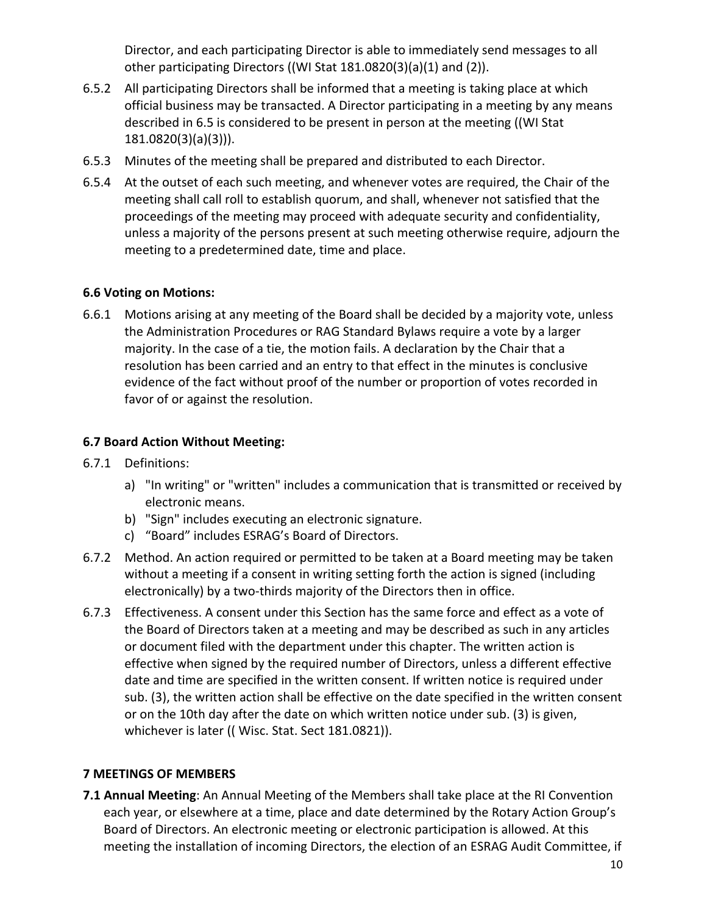Director, and each participating Director is able to immediately send messages to all other participating Directors ((WI Stat  $181.0820(3)(a)(1)$  and  $(2)$ ).

- 6.5.2 All participating Directors shall be informed that a meeting is taking place at which official business may be transacted. A Director participating in a meeting by any means described in 6.5 is considered to be present in person at the meeting ((WI Stat) 181.0820(3)(a)(3))).
- 6.5.3 Minutes of the meeting shall be prepared and distributed to each Director.
- 6.5.4 At the outset of each such meeting, and whenever votes are required, the Chair of the meeting shall call roll to establish quorum, and shall, whenever not satisfied that the proceedings of the meeting may proceed with adequate security and confidentiality, unless a majority of the persons present at such meeting otherwise require, adjourn the meeting to a predetermined date, time and place.

## **6.6 Voting on Motions:**

6.6.1 Motions arising at any meeting of the Board shall be decided by a majority vote, unless the Administration Procedures or RAG Standard Bylaws require a vote by a larger majority. In the case of a tie, the motion fails. A declaration by the Chair that a resolution has been carried and an entry to that effect in the minutes is conclusive evidence of the fact without proof of the number or proportion of votes recorded in favor of or against the resolution.

## **6.7 Board Action Without Meeting:**

- 6.7.1 Definitions:
	- a) "In writing" or "written" includes a communication that is transmitted or received by electronic means.
	- b) "Sign" includes executing an electronic signature.
	- c) "Board" includes ESRAG's Board of Directors.
- 6.7.2 Method. An action required or permitted to be taken at a Board meeting may be taken without a meeting if a consent in writing setting forth the action is signed (including electronically) by a two-thirds majority of the Directors then in office.
- 6.7.3 Effectiveness. A consent under this Section has the same force and effect as a vote of the Board of Directors taken at a meeting and may be described as such in any articles or document filed with the department under this chapter. The written action is effective when signed by the required number of Directors, unless a different effective date and time are specified in the written consent. If written notice is required under sub. (3), the written action shall be effective on the date specified in the written consent or on the 10th day after the date on which written notice under sub. (3) is given, whichever is later ((Wisc. Stat. Sect 181.0821)).

# **7 MEETINGS OF MEMBERS**

**7.1 Annual Meeting:** An Annual Meeting of the Members shall take place at the RI Convention each year, or elsewhere at a time, place and date determined by the Rotary Action Group's Board of Directors. An electronic meeting or electronic participation is allowed. At this meeting the installation of incoming Directors, the election of an ESRAG Audit Committee, if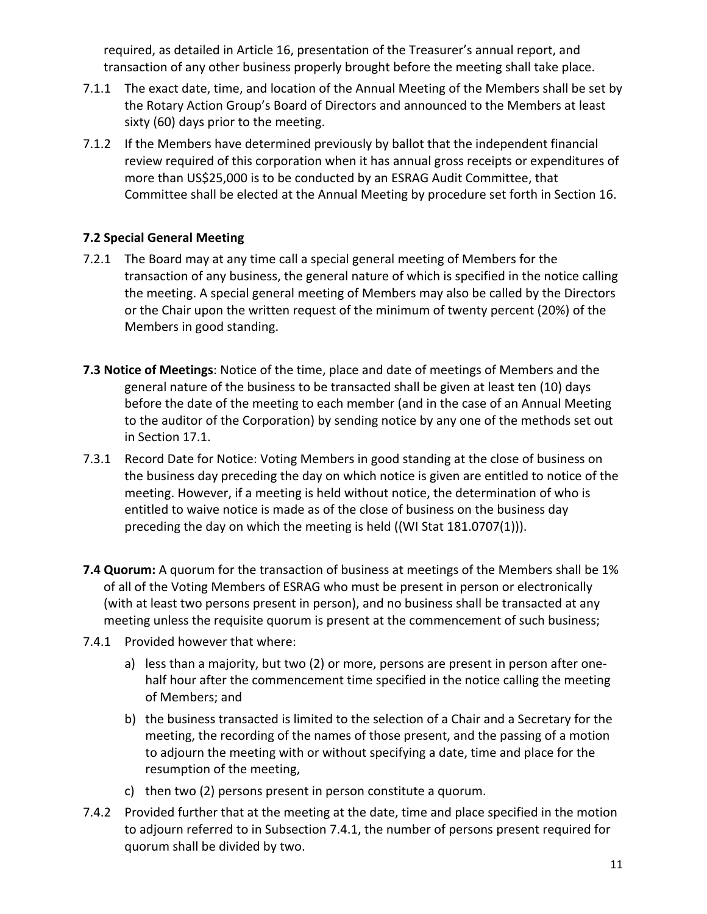required, as detailed in Article 16, presentation of the Treasurer's annual report, and transaction of any other business properly brought before the meeting shall take place.

- 7.1.1 The exact date, time, and location of the Annual Meeting of the Members shall be set by the Rotary Action Group's Board of Directors and announced to the Members at least sixty (60) days prior to the meeting.
- 7.1.2 If the Members have determined previously by ballot that the independent financial review required of this corporation when it has annual gross receipts or expenditures of more than US\$25,000 is to be conducted by an ESRAG Audit Committee, that Committee shall be elected at the Annual Meeting by procedure set forth in Section 16.

## **7.2 Special General Meeting**

- 7.2.1 The Board may at any time call a special general meeting of Members for the transaction of any business, the general nature of which is specified in the notice calling the meeting. A special general meeting of Members may also be called by the Directors or the Chair upon the written request of the minimum of twenty percent (20%) of the Members in good standing.
- **7.3 Notice of Meetings**: Notice of the time, place and date of meetings of Members and the general nature of the business to be transacted shall be given at least ten (10) days before the date of the meeting to each member (and in the case of an Annual Meeting to the auditor of the Corporation) by sending notice by any one of the methods set out in Section 17.1.
- 7.3.1 Record Date for Notice: Voting Members in good standing at the close of business on the business day preceding the day on which notice is given are entitled to notice of the meeting. However, if a meeting is held without notice, the determination of who is entitled to waive notice is made as of the close of business on the business day preceding the day on which the meeting is held ((WI Stat  $181.0707(1)$ )).
- **7.4 Quorum:** A quorum for the transaction of business at meetings of the Members shall be 1% of all of the Voting Members of ESRAG who must be present in person or electronically (with at least two persons present in person), and no business shall be transacted at any meeting unless the requisite quorum is present at the commencement of such business;
- 7.4.1 Provided however that where:
	- a) less than a majority, but two (2) or more, persons are present in person after onehalf hour after the commencement time specified in the notice calling the meeting of Members; and
	- b) the business transacted is limited to the selection of a Chair and a Secretary for the meeting, the recording of the names of those present, and the passing of a motion to adjourn the meeting with or without specifying a date, time and place for the resumption of the meeting,
	- c) then two (2) persons present in person constitute a quorum.
- 7.4.2 Provided further that at the meeting at the date, time and place specified in the motion to adjourn referred to in Subsection 7.4.1, the number of persons present required for quorum shall be divided by two.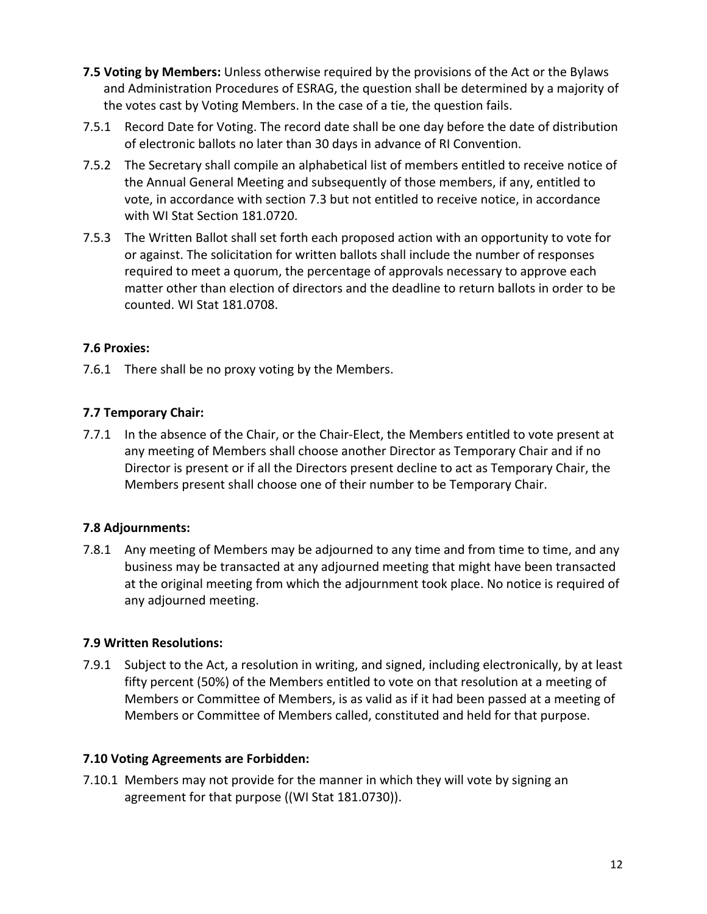- **7.5 Voting by Members:** Unless otherwise required by the provisions of the Act or the Bylaws and Administration Procedures of ESRAG, the question shall be determined by a majority of the votes cast by Voting Members. In the case of a tie, the question fails.
- 7.5.1 Record Date for Voting. The record date shall be one day before the date of distribution of electronic ballots no later than 30 days in advance of RI Convention.
- 7.5.2 The Secretary shall compile an alphabetical list of members entitled to receive notice of the Annual General Meeting and subsequently of those members, if any, entitled to vote, in accordance with section 7.3 but not entitled to receive notice, in accordance with WI Stat Section 181.0720.
- 7.5.3 The Written Ballot shall set forth each proposed action with an opportunity to vote for or against. The solicitation for written ballots shall include the number of responses required to meet a quorum, the percentage of approvals necessary to approve each matter other than election of directors and the deadline to return ballots in order to be counted. WI Stat 181.0708.

## **7.6 Proxies:**

7.6.1 There shall be no proxy voting by the Members.

## **7.7 Temporary Chair:**

7.7.1 In the absence of the Chair, or the Chair-Elect, the Members entitled to vote present at any meeting of Members shall choose another Director as Temporary Chair and if no Director is present or if all the Directors present decline to act as Temporary Chair, the Members present shall choose one of their number to be Temporary Chair.

## **7.8 Adjournments:**

7.8.1 Any meeting of Members may be adjourned to any time and from time to time, and any business may be transacted at any adjourned meeting that might have been transacted at the original meeting from which the adjournment took place. No notice is required of any adjourned meeting.

## **7.9 Written Resolutions:**

7.9.1 Subject to the Act, a resolution in writing, and signed, including electronically, by at least fifty percent (50%) of the Members entitled to vote on that resolution at a meeting of Members or Committee of Members, is as valid as if it had been passed at a meeting of Members or Committee of Members called, constituted and held for that purpose.

## **7.10 Voting Agreements are Forbidden:**

7.10.1 Members may not provide for the manner in which they will vote by signing an agreement for that purpose ((WI Stat 181.0730)).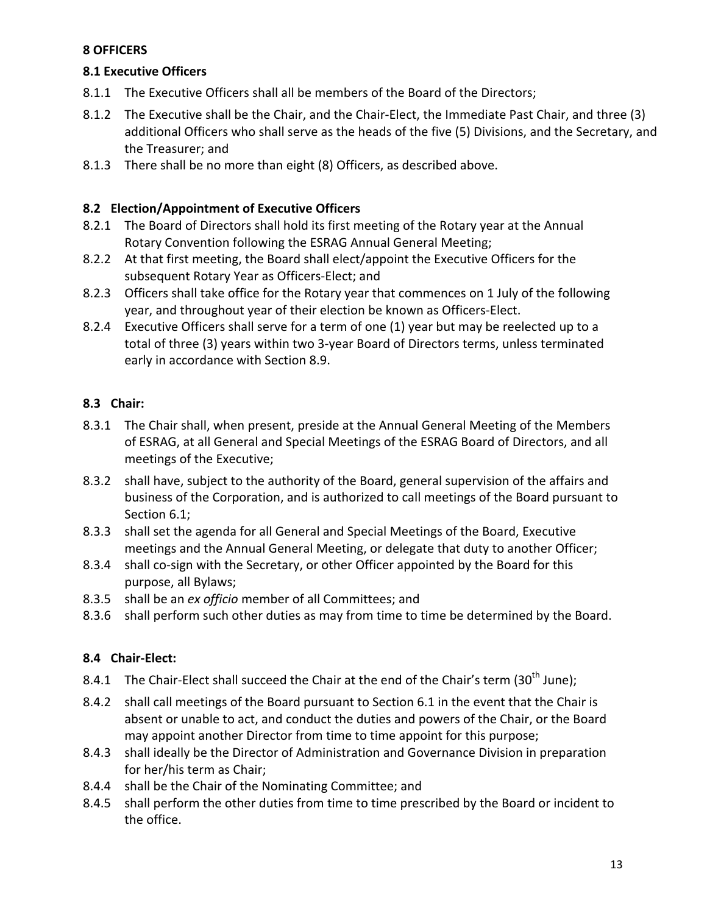## **8 OFFICERS**

## **8.1 Executive Officers**

- 8.1.1 The Executive Officers shall all be members of the Board of the Directors;
- 8.1.2 The Executive shall be the Chair, and the Chair-Elect, the Immediate Past Chair, and three (3) additional Officers who shall serve as the heads of the five (5) Divisions, and the Secretary, and the Treasurer: and
- 8.1.3 There shall be no more than eight (8) Officers, as described above.

## **8.2 Election/Appointment of Executive Officers**

- 8.2.1 The Board of Directors shall hold its first meeting of the Rotary year at the Annual Rotary Convention following the ESRAG Annual General Meeting;
- 8.2.2 At that first meeting, the Board shall elect/appoint the Executive Officers for the subsequent Rotary Year as Officers-Elect; and
- 8.2.3 Officers shall take office for the Rotary year that commences on 1 July of the following year, and throughout year of their election be known as Officers-Elect.
- 8.2.4 Executive Officers shall serve for a term of one (1) year but may be reelected up to a total of three (3) years within two 3-year Board of Directors terms, unless terminated early in accordance with Section 8.9.

# **8.3 Chair:**

- 8.3.1 The Chair shall, when present, preside at the Annual General Meeting of the Members of ESRAG, at all General and Special Meetings of the ESRAG Board of Directors, and all meetings of the Executive;
- 8.3.2 shall have, subject to the authority of the Board, general supervision of the affairs and business of the Corporation, and is authorized to call meetings of the Board pursuant to Section 6.1;
- 8.3.3 shall set the agenda for all General and Special Meetings of the Board, Executive meetings and the Annual General Meeting, or delegate that duty to another Officer;
- 8.3.4 shall co-sign with the Secretary, or other Officer appointed by the Board for this purpose, all Bylaws;
- 8.3.5 shall be an *ex officio* member of all Committees; and
- 8.3.6 shall perform such other duties as may from time to time be determined by the Board.

# **8.4 Chair-Elect:**

- 8.4.1 The Chair-Elect shall succeed the Chair at the end of the Chair's term (30<sup>th</sup> June);
- 8.4.2 shall call meetings of the Board pursuant to Section 6.1 in the event that the Chair is absent or unable to act, and conduct the duties and powers of the Chair, or the Board may appoint another Director from time to time appoint for this purpose;
- 8.4.3 shall ideally be the Director of Administration and Governance Division in preparation for her/his term as Chair;
- 8.4.4 shall be the Chair of the Nominating Committee; and
- 8.4.5 shall perform the other duties from time to time prescribed by the Board or incident to the office.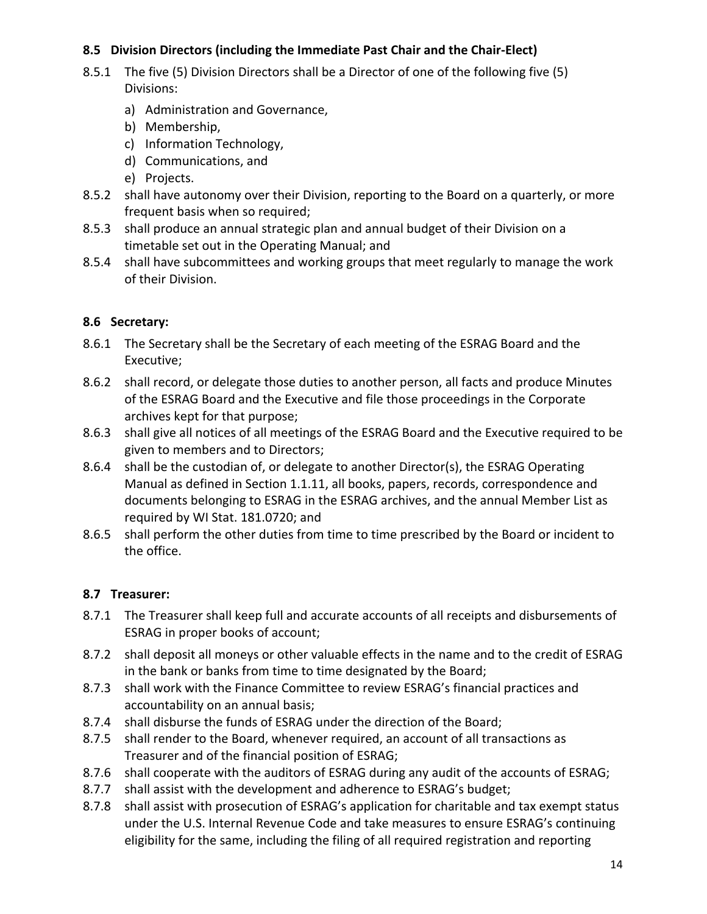## **8.5** Division Directors (including the Immediate Past Chair and the Chair-Elect)

- 8.5.1 The five (5) Division Directors shall be a Director of one of the following five (5) Divisions:
	- a) Administration and Governance,
	- b) Membership,
	- c) Information Technology,
	- d) Communications, and
	- e) Projects.
- 8.5.2 shall have autonomy over their Division, reporting to the Board on a quarterly, or more frequent basis when so required;
- 8.5.3 shall produce an annual strategic plan and annual budget of their Division on a timetable set out in the Operating Manual; and
- 8.5.4 shall have subcommittees and working groups that meet regularly to manage the work of their Division.

## **8.6 Secretary:**

- 8.6.1 The Secretary shall be the Secretary of each meeting of the ESRAG Board and the Executive;
- 8.6.2 shall record, or delegate those duties to another person, all facts and produce Minutes of the ESRAG Board and the Executive and file those proceedings in the Corporate archives kept for that purpose;
- 8.6.3 shall give all notices of all meetings of the ESRAG Board and the Executive required to be given to members and to Directors;
- 8.6.4 shall be the custodian of, or delegate to another Director(s), the ESRAG Operating Manual as defined in Section 1.1.11, all books, papers, records, correspondence and documents belonging to ESRAG in the ESRAG archives, and the annual Member List as required by WI Stat. 181.0720; and
- 8.6.5 shall perform the other duties from time to time prescribed by the Board or incident to the office.

## **8.7 Treasurer:**

- 8.7.1 The Treasurer shall keep full and accurate accounts of all receipts and disbursements of ESRAG in proper books of account;
- 8.7.2 shall deposit all moneys or other valuable effects in the name and to the credit of ESRAG in the bank or banks from time to time designated by the Board;
- 8.7.3 shall work with the Finance Committee to review ESRAG's financial practices and accountability on an annual basis;
- 8.7.4 shall disburse the funds of ESRAG under the direction of the Board;
- 8.7.5 shall render to the Board, whenever required, an account of all transactions as Treasurer and of the financial position of ESRAG;
- 8.7.6 shall cooperate with the auditors of ESRAG during any audit of the accounts of ESRAG;
- 8.7.7 shall assist with the development and adherence to ESRAG's budget;
- 8.7.8 shall assist with prosecution of ESRAG's application for charitable and tax exempt status under the U.S. Internal Revenue Code and take measures to ensure ESRAG's continuing eligibility for the same, including the filing of all required registration and reporting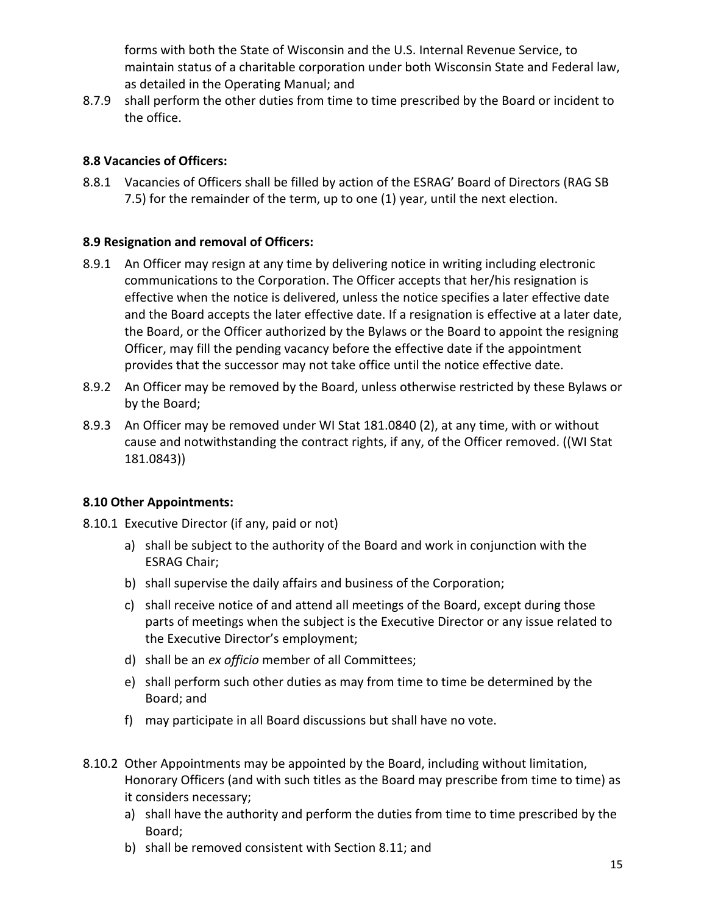forms with both the State of Wisconsin and the U.S. Internal Revenue Service, to maintain status of a charitable corporation under both Wisconsin State and Federal law, as detailed in the Operating Manual; and

8.7.9 shall perform the other duties from time to time prescribed by the Board or incident to the office.

## **8.8 Vacancies of Officers:**

8.8.1 Vacancies of Officers shall be filled by action of the ESRAG' Board of Directors (RAG SB 7.5) for the remainder of the term, up to one (1) year, until the next election.

## **8.9 Resignation and removal of Officers:**

- 8.9.1 An Officer may resign at any time by delivering notice in writing including electronic communications to the Corporation. The Officer accepts that her/his resignation is effective when the notice is delivered, unless the notice specifies a later effective date and the Board accepts the later effective date. If a resignation is effective at a later date, the Board, or the Officer authorized by the Bylaws or the Board to appoint the resigning Officer, may fill the pending vacancy before the effective date if the appointment provides that the successor may not take office until the notice effective date.
- 8.9.2 An Officer may be removed by the Board, unless otherwise restricted by these Bylaws or by the Board;
- 8.9.3 An Officer may be removed under WI Stat 181.0840 (2), at any time, with or without cause and notwithstanding the contract rights, if any, of the Officer removed. ((WI Stat 181.0843))

# **8.10 Other Appointments:**

- 8.10.1 Executive Director (if any, paid or not)
	- a) shall be subject to the authority of the Board and work in conjunction with the **ESRAG Chair;**
	- b) shall supervise the daily affairs and business of the Corporation;
	- c) shall receive notice of and attend all meetings of the Board, except during those parts of meetings when the subject is the Executive Director or any issue related to the Executive Director's employment;
	- d) shall be an *ex officio* member of all Committees;
	- e) shall perform such other duties as may from time to time be determined by the Board; and
	- f) may participate in all Board discussions but shall have no vote.
- 8.10.2 Other Appointments may be appointed by the Board, including without limitation, Honorary Officers (and with such titles as the Board may prescribe from time to time) as it considers necessary;
	- a) shall have the authority and perform the duties from time to time prescribed by the Board;
	- b) shall be removed consistent with Section 8.11; and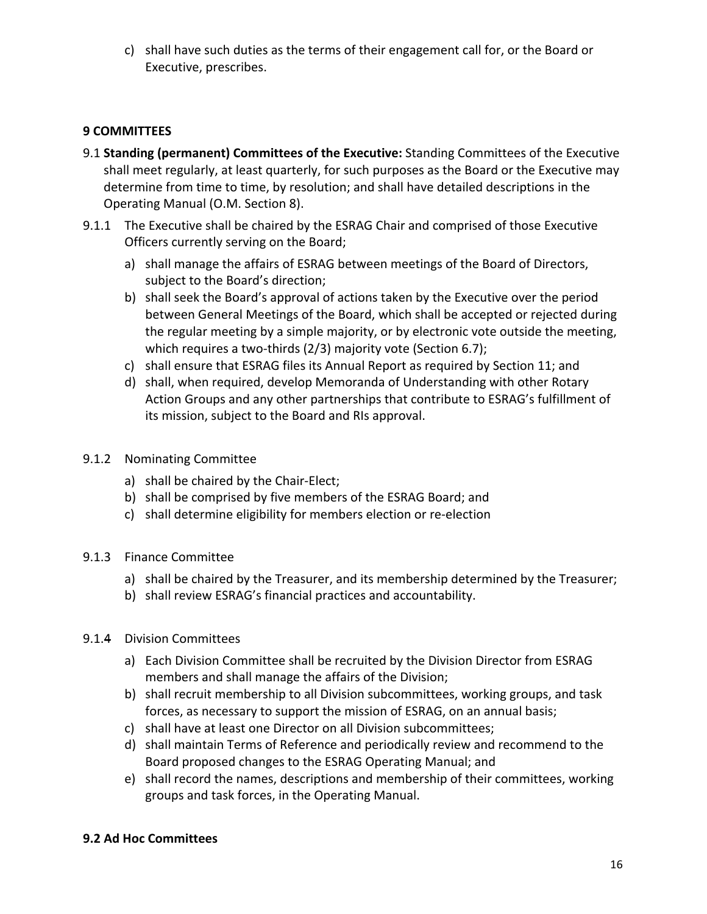c) shall have such duties as the terms of their engagement call for, or the Board or Executive, prescribes.

## **9 COMMITTEES**

- 9.1 **Standing (permanent) Committees of the Executive:** Standing Committees of the Executive shall meet regularly, at least quarterly, for such purposes as the Board or the Executive may determine from time to time, by resolution; and shall have detailed descriptions in the Operating Manual (O.M. Section 8).
- 9.1.1 The Executive shall be chaired by the ESRAG Chair and comprised of those Executive Officers currently serving on the Board;
	- a) shall manage the affairs of ESRAG between meetings of the Board of Directors, subject to the Board's direction;
	- b) shall seek the Board's approval of actions taken by the Executive over the period between General Meetings of the Board, which shall be accepted or rejected during the regular meeting by a simple majority, or by electronic vote outside the meeting, which requires a two-thirds  $(2/3)$  majority vote (Section 6.7);
	- c) shall ensure that ESRAG files its Annual Report as required by Section 11; and
	- d) shall, when required, develop Memoranda of Understanding with other Rotary Action Groups and any other partnerships that contribute to ESRAG's fulfillment of its mission, subject to the Board and RIs approval.
- 9.1.2 Nominating Committee
	- a) shall be chaired by the Chair-Elect;
	- b) shall be comprised by five members of the ESRAG Board; and
	- c) shall determine eligibility for members election or re-election
- 9.1.3 Finance Committee
	- a) shall be chaired by the Treasurer, and its membership determined by the Treasurer;
	- b) shall review ESRAG's financial practices and accountability.
- 9.1.4 Division Committees
	- a) Each Division Committee shall be recruited by the Division Director from ESRAG members and shall manage the affairs of the Division;
	- b) shall recruit membership to all Division subcommittees, working groups, and task forces, as necessary to support the mission of ESRAG, on an annual basis;
	- c) shall have at least one Director on all Division subcommittees;
	- d) shall maintain Terms of Reference and periodically review and recommend to the Board proposed changes to the ESRAG Operating Manual; and
	- e) shall record the names, descriptions and membership of their committees, working groups and task forces, in the Operating Manual.

## **9.2 Ad Hoc Committees**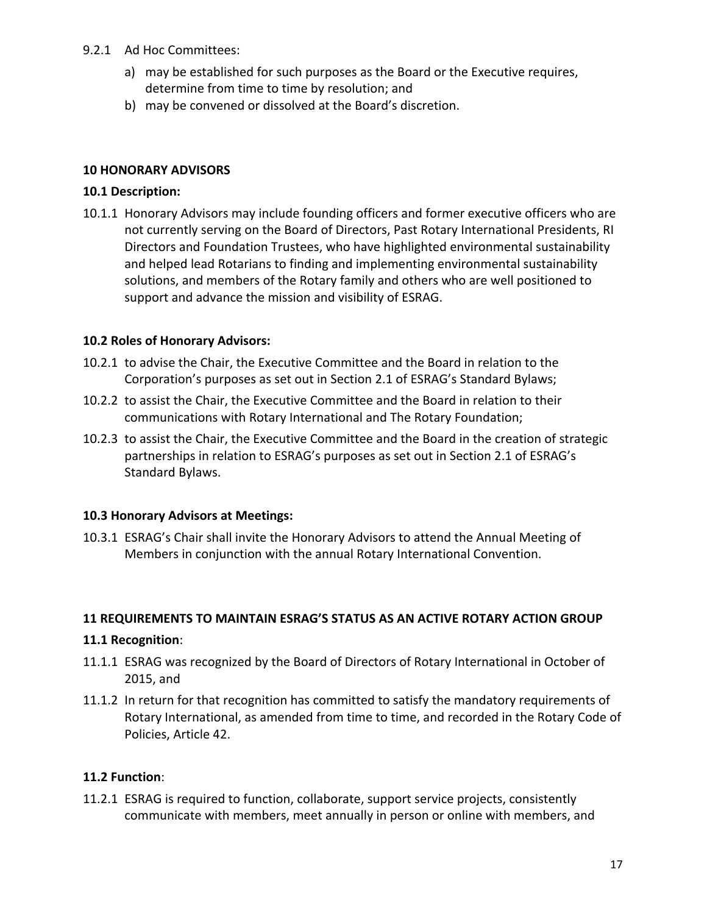### 9.2.1 Ad Hoc Committees:

- a) may be established for such purposes as the Board or the Executive requires, determine from time to time by resolution; and
- b) may be convened or dissolved at the Board's discretion.

#### **10 HONORARY ADVISORS**

#### **10.1 Description:**

10.1.1 Honorary Advisors may include founding officers and former executive officers who are not currently serving on the Board of Directors, Past Rotary International Presidents, RI Directors and Foundation Trustees, who have highlighted environmental sustainability and helped lead Rotarians to finding and implementing environmental sustainability solutions, and members of the Rotary family and others who are well positioned to support and advance the mission and visibility of ESRAG.

#### **10.2 Roles of Honorary Advisors:**

- 10.2.1 to advise the Chair, the Executive Committee and the Board in relation to the Corporation's purposes as set out in Section 2.1 of ESRAG's Standard Bylaws;
- 10.2.2 to assist the Chair, the Executive Committee and the Board in relation to their communications with Rotary International and The Rotary Foundation;
- 10.2.3 to assist the Chair, the Executive Committee and the Board in the creation of strategic partnerships in relation to ESRAG's purposes as set out in Section 2.1 of ESRAG's Standard Bylaws.

#### **10.3 Honorary Advisors at Meetings:**

10.3.1 ESRAG's Chair shall invite the Honorary Advisors to attend the Annual Meeting of Members in conjunction with the annual Rotary International Convention.

#### **11 REQUIREMENTS TO MAINTAIN ESRAG'S STATUS AS AN ACTIVE ROTARY ACTION GROUP**

#### **11.1 Recognition**:

- 11.1.1 ESRAG was recognized by the Board of Directors of Rotary International in October of 2015, and
- 11.1.2 In return for that recognition has committed to satisfy the mandatory requirements of Rotary International, as amended from time to time, and recorded in the Rotary Code of Policies, Article 42.

## **11.2 Function**:

11.2.1 ESRAG is required to function, collaborate, support service projects, consistently communicate with members, meet annually in person or online with members, and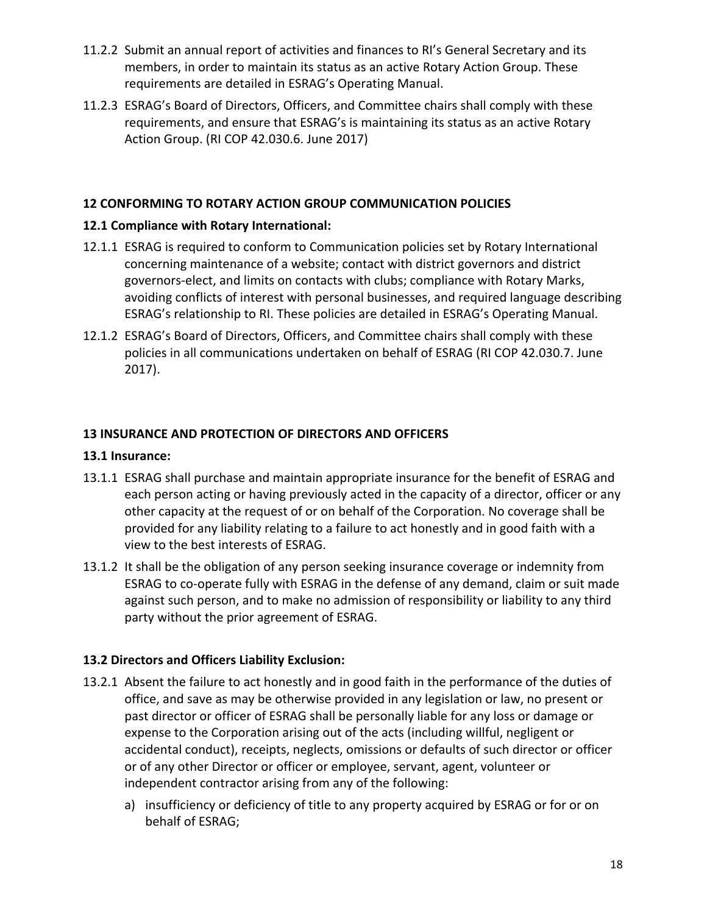- 11.2.2 Submit an annual report of activities and finances to RI's General Secretary and its members, in order to maintain its status as an active Rotary Action Group. These requirements are detailed in ESRAG's Operating Manual.
- 11.2.3 ESRAG's Board of Directors, Officers, and Committee chairs shall comply with these requirements, and ensure that ESRAG's is maintaining its status as an active Rotary Action Group. (RI COP 42.030.6. June 2017)

### **12 CONFORMING TO ROTARY ACTION GROUP COMMUNICATION POLICIES**

#### **12.1 Compliance with Rotary International:**

- 12.1.1 ESRAG is required to conform to Communication policies set by Rotary International concerning maintenance of a website; contact with district governors and district governors-elect, and limits on contacts with clubs; compliance with Rotary Marks, avoiding conflicts of interest with personal businesses, and required language describing ESRAG's relationship to RI. These policies are detailed in ESRAG's Operating Manual.
- 12.1.2 ESRAG's Board of Directors, Officers, and Committee chairs shall comply with these policies in all communications undertaken on behalf of ESRAG (RI COP 42.030.7. June 2017).

#### **13 INSURANCE AND PROTECTION OF DIRECTORS AND OFFICERS**

#### **13.1 Insurance:**

- 13.1.1 ESRAG shall purchase and maintain appropriate insurance for the benefit of ESRAG and each person acting or having previously acted in the capacity of a director, officer or any other capacity at the request of or on behalf of the Corporation. No coverage shall be provided for any liability relating to a failure to act honestly and in good faith with a view to the best interests of ESRAG.
- 13.1.2 It shall be the obligation of any person seeking insurance coverage or indemnity from ESRAG to co-operate fully with ESRAG in the defense of any demand, claim or suit made against such person, and to make no admission of responsibility or liability to any third party without the prior agreement of ESRAG.

#### **13.2 Directors and Officers Liability Exclusion:**

- 13.2.1 Absent the failure to act honestly and in good faith in the performance of the duties of office, and save as may be otherwise provided in any legislation or law, no present or past director or officer of ESRAG shall be personally liable for any loss or damage or expense to the Corporation arising out of the acts (including willful, negligent or accidental conduct), receipts, neglects, omissions or defaults of such director or officer or of any other Director or officer or employee, servant, agent, volunteer or independent contractor arising from any of the following:
	- a) insufficiency or deficiency of title to any property acquired by ESRAG or for or on behalf of ESRAG;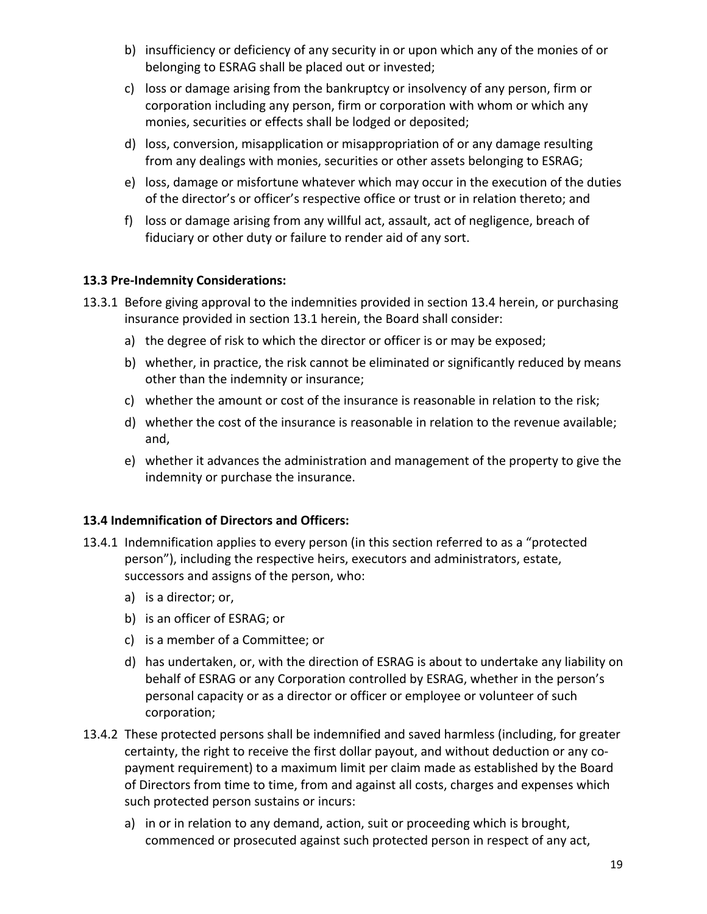- b) insufficiency or deficiency of any security in or upon which any of the monies of or belonging to ESRAG shall be placed out or invested;
- c) loss or damage arising from the bankruptcy or insolvency of any person, firm or corporation including any person, firm or corporation with whom or which any monies, securities or effects shall be lodged or deposited;
- d) loss, conversion, misapplication or misappropriation of or any damage resulting from any dealings with monies, securities or other assets belonging to ESRAG;
- e) loss, damage or misfortune whatever which may occur in the execution of the duties of the director's or officer's respective office or trust or in relation thereto; and
- f) loss or damage arising from any willful act, assault, act of negligence, breach of fiduciary or other duty or failure to render aid of any sort.

## **13.3 Pre-Indemnity Considerations:**

- 13.3.1 Before giving approval to the indemnities provided in section 13.4 herein, or purchasing insurance provided in section 13.1 herein, the Board shall consider:
	- a) the degree of risk to which the director or officer is or may be exposed;
	- b) whether, in practice, the risk cannot be eliminated or significantly reduced by means other than the indemnity or insurance;
	- c) whether the amount or cost of the insurance is reasonable in relation to the risk;
	- d) whether the cost of the insurance is reasonable in relation to the revenue available; and,
	- e) whether it advances the administration and management of the property to give the indemnity or purchase the insurance.

## 13.4 Indemnification of Directors and Officers:

- 13.4.1 Indemnification applies to every person (in this section referred to as a "protected person"), including the respective heirs, executors and administrators, estate, successors and assigns of the person, who:
	- a) is a director; or,
	- b) is an officer of ESRAG; or
	- c) is a member of a Committee; or
	- d) has undertaken, or, with the direction of ESRAG is about to undertake any liability on behalf of ESRAG or any Corporation controlled by ESRAG, whether in the person's personal capacity or as a director or officer or employee or volunteer of such corporation;
- 13.4.2 These protected persons shall be indemnified and saved harmless (including, for greater certainty, the right to receive the first dollar payout, and without deduction or any copayment requirement) to a maximum limit per claim made as established by the Board of Directors from time to time, from and against all costs, charges and expenses which such protected person sustains or incurs:
	- a) in or in relation to any demand, action, suit or proceeding which is brought, commenced or prosecuted against such protected person in respect of any act,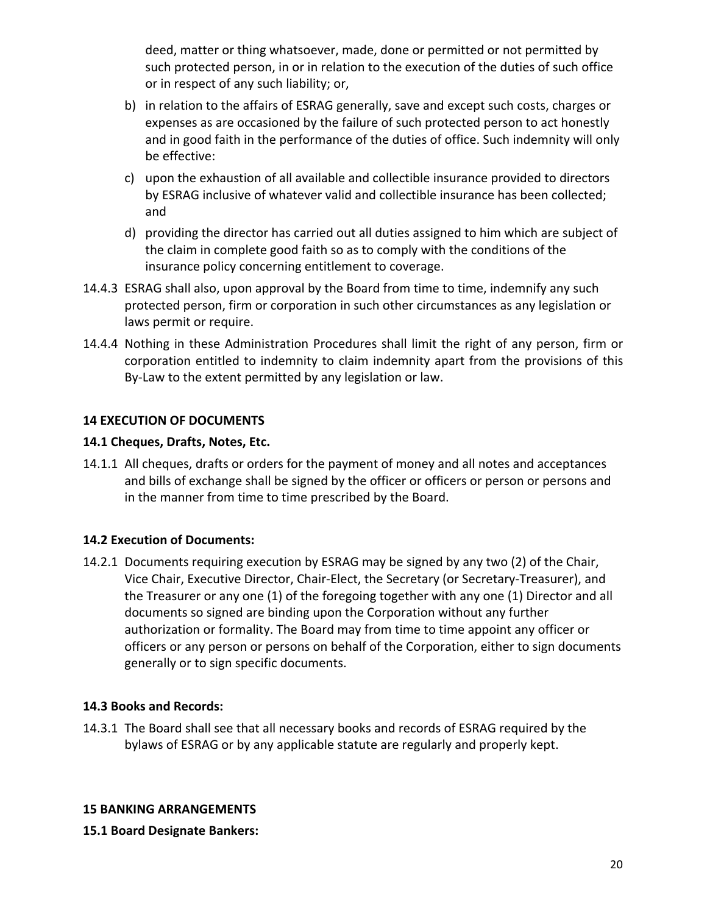deed, matter or thing whatsoever, made, done or permitted or not permitted by such protected person, in or in relation to the execution of the duties of such office or in respect of any such liability; or,

- b) in relation to the affairs of ESRAG generally, save and except such costs, charges or expenses as are occasioned by the failure of such protected person to act honestly and in good faith in the performance of the duties of office. Such indemnity will only be effective:
- c) upon the exhaustion of all available and collectible insurance provided to directors by ESRAG inclusive of whatever valid and collectible insurance has been collected; and
- d) providing the director has carried out all duties assigned to him which are subject of the claim in complete good faith so as to comply with the conditions of the insurance policy concerning entitlement to coverage.
- 14.4.3 ESRAG shall also, upon approval by the Board from time to time, indemnify any such protected person, firm or corporation in such other circumstances as any legislation or laws permit or require.
- 14.4.4 Nothing in these Administration Procedures shall limit the right of any person, firm or corporation entitled to indemnity to claim indemnity apart from the provisions of this By-Law to the extent permitted by any legislation or law.

## **14 EXECUTION OF DOCUMENTS**

#### 14.1 Cheques, Drafts, Notes, Etc.

14.1.1 All cheques, drafts or orders for the payment of money and all notes and acceptances and bills of exchange shall be signed by the officer or officers or person or persons and in the manner from time to time prescribed by the Board.

## **14.2 Execution of Documents:**

14.2.1 Documents requiring execution by ESRAG may be signed by any two (2) of the Chair, Vice Chair, Executive Director, Chair-Elect, the Secretary (or Secretary-Treasurer), and the Treasurer or any one (1) of the foregoing together with any one (1) Director and all documents so signed are binding upon the Corporation without any further authorization or formality. The Board may from time to time appoint any officer or officers or any person or persons on behalf of the Corporation, either to sign documents generally or to sign specific documents.

#### **14.3 Books and Records:**

14.3.1 The Board shall see that all necessary books and records of ESRAG required by the bylaws of ESRAG or by any applicable statute are regularly and properly kept.

#### **15 BANKING ARRANGEMENTS**

**15.1 Board Designate Bankers:**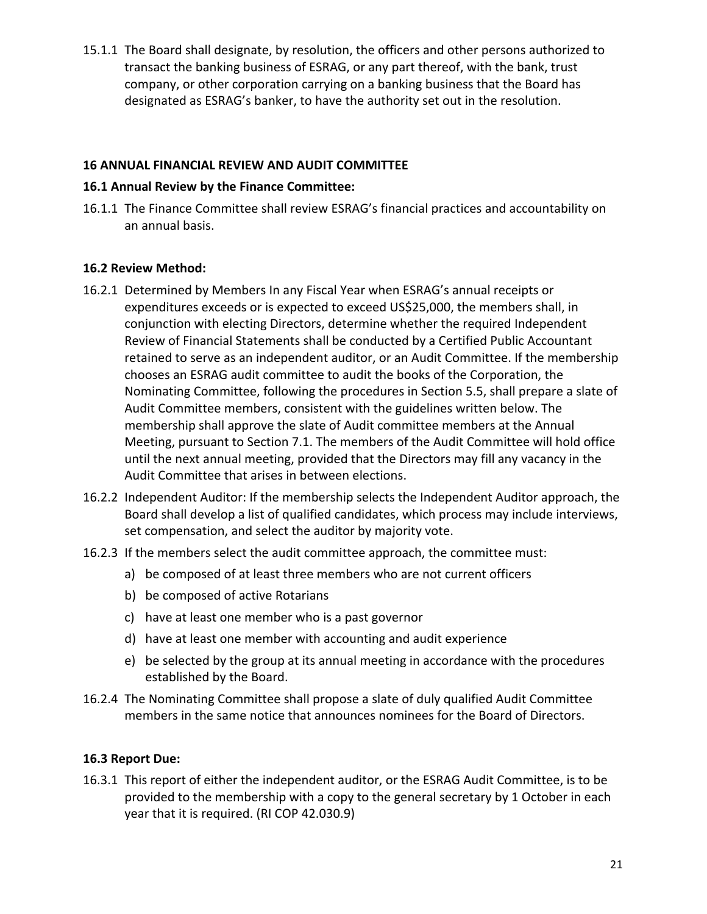15.1.1 The Board shall designate, by resolution, the officers and other persons authorized to transact the banking business of ESRAG, or any part thereof, with the bank, trust company, or other corporation carrying on a banking business that the Board has designated as ESRAG's banker, to have the authority set out in the resolution.

### **16 ANNUAL FINANCIAL REVIEW AND AUDIT COMMITTEE**

#### **16.1 Annual Review by the Finance Committee:**

16.1.1 The Finance Committee shall review ESRAG's financial practices and accountability on an annual basis.

#### **16.2 Review Method:**

- 16.2.1 Determined by Members In any Fiscal Year when ESRAG's annual receipts or expenditures exceeds or is expected to exceed US\$25,000, the members shall, in conjunction with electing Directors, determine whether the required Independent Review of Financial Statements shall be conducted by a Certified Public Accountant retained to serve as an independent auditor, or an Audit Committee. If the membership chooses an ESRAG audit committee to audit the books of the Corporation, the Nominating Committee, following the procedures in Section 5.5, shall prepare a slate of Audit Committee members, consistent with the guidelines written below. The membership shall approve the slate of Audit committee members at the Annual Meeting, pursuant to Section 7.1. The members of the Audit Committee will hold office until the next annual meeting, provided that the Directors may fill any vacancy in the Audit Committee that arises in between elections.
- 16.2.2 Independent Auditor: If the membership selects the Independent Auditor approach, the Board shall develop a list of qualified candidates, which process may include interviews, set compensation, and select the auditor by majority vote.
- 16.2.3 If the members select the audit committee approach, the committee must:
	- a) be composed of at least three members who are not current officers
	- b) be composed of active Rotarians
	- c) have at least one member who is a past governor
	- d) have at least one member with accounting and audit experience
	- e) be selected by the group at its annual meeting in accordance with the procedures established by the Board.
- 16.2.4 The Nominating Committee shall propose a slate of duly qualified Audit Committee members in the same notice that announces nominees for the Board of Directors.

## **16.3 Report Due:**

16.3.1 This report of either the independent auditor, or the ESRAG Audit Committee, is to be provided to the membership with a copy to the general secretary by 1 October in each year that it is required. (RI COP 42.030.9)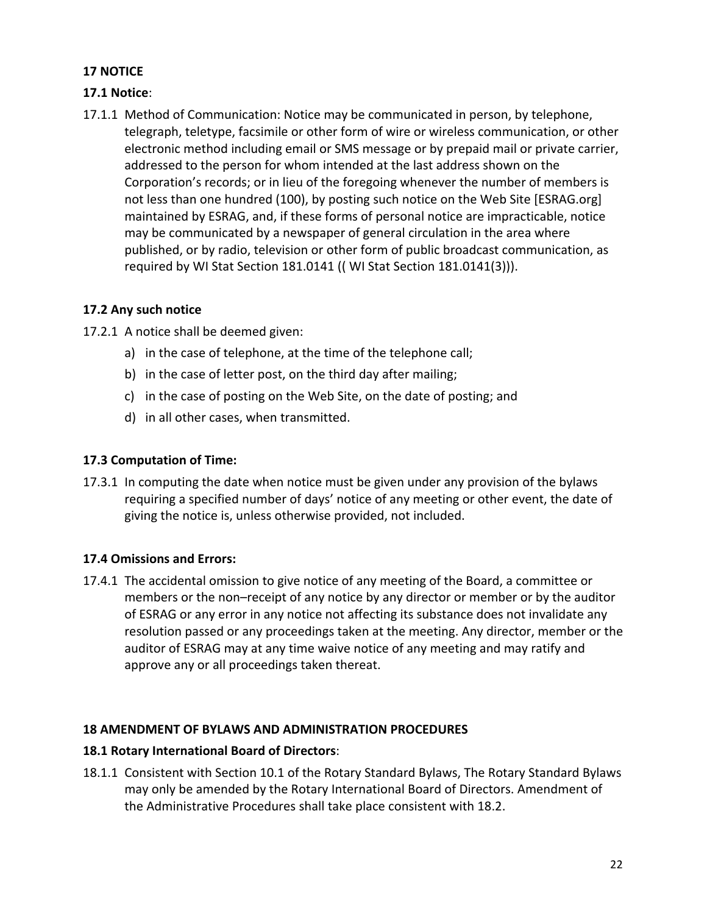## **17 NOTICE**

## **17.1 Notice**:

17.1.1 Method of Communication: Notice may be communicated in person, by telephone, telegraph, teletype, facsimile or other form of wire or wireless communication, or other electronic method including email or SMS message or by prepaid mail or private carrier, addressed to the person for whom intended at the last address shown on the Corporation's records; or in lieu of the foregoing whenever the number of members is not less than one hundred (100), by posting such notice on the Web Site [ESRAG.org] maintained by ESRAG, and, if these forms of personal notice are impracticable, notice may be communicated by a newspaper of general circulation in the area where published, or by radio, television or other form of public broadcast communication, as required by WI Stat Section 181.0141 (( WI Stat Section 181.0141(3))).

## **17.2 Any such notice**

17.2.1 A notice shall be deemed given:

- a) in the case of telephone, at the time of the telephone call;
- b) in the case of letter post, on the third day after mailing;
- c) in the case of posting on the Web Site, on the date of posting; and
- d) in all other cases, when transmitted.

## **17.3 Computation of Time:**

17.3.1 In computing the date when notice must be given under any provision of the bylaws requiring a specified number of days' notice of any meeting or other event, the date of giving the notice is, unless otherwise provided, not included.

# **17.4 Omissions and Errors:**

17.4.1 The accidental omission to give notice of any meeting of the Board, a committee or members or the non–receipt of any notice by any director or member or by the auditor of ESRAG or any error in any notice not affecting its substance does not invalidate any resolution passed or any proceedings taken at the meeting. Any director, member or the auditor of ESRAG may at any time waive notice of any meeting and may ratify and approve any or all proceedings taken thereat.

## **18 AMENDMENT OF BYLAWS AND ADMINISTRATION PROCEDURES**

## **18.1 Rotary International Board of Directors:**

18.1.1 Consistent with Section 10.1 of the Rotary Standard Bylaws, The Rotary Standard Bylaws may only be amended by the Rotary International Board of Directors. Amendment of the Administrative Procedures shall take place consistent with 18.2.